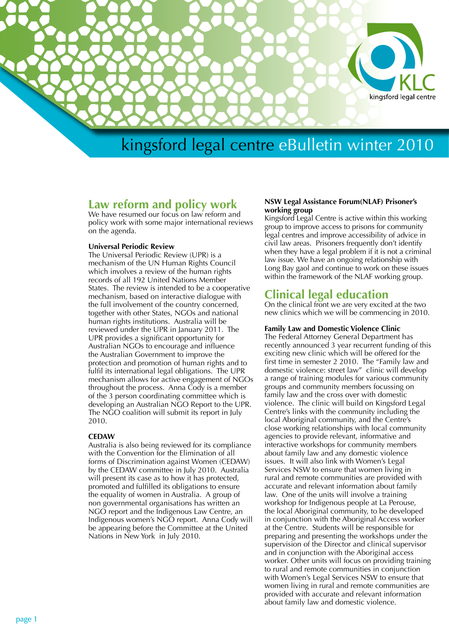

# **Law reform and policy work**

We have resumed our focus on law reform and policy work with some major international reviews on the agenda.

### **Universal Periodic Review**

The Universal Periodic Review (UPR) is a mechanism of the UN Human Rights Council which involves a review of the human rights records of all 192 United Nations Member States. The review is intended to be a cooperative mechanism, based on interactive dialogue with the full involvement of the country concerned, together with other States, NGOs and national human rights institutions. Australia will be reviewed under the UPR in January 2011. The UPR provides a significant opportunity for Australian NGOs to encourage and influence the Australian Government to improve the protection and promotion of human rights and to fulfil its international legal obligations. The UPR mechanism allows for active engagement of NGOs throughout the process. Anna Cody is a member of the 3 person coordinating committee which is developing an Australian NGO Report to the UPR. The NGO coalition will submit its report in July 2010.

# **CEDAW**

Australia is also being reviewed for its compliance with the Convention for the Elimination of all forms of Discrimination against Women (CEDAW) by the CEDAW committee in July 2010. Australia will present its case as to how it has protected, promoted and fulfilled its obligations to ensure the equality of women in Australia. A group of non governmental organisations has written an NGO report and the Indigenous Law Centre, an Indigenous women's NGO report. Anna Cody will be appearing before the Committee at the United Nations in New York in July 2010.

# **NSW Legal Assistance Forum(NLAF) Prisoner's working group**

Kingsford Legal Centre is active within this working group to improve access to prisons for community legal centres and improve accessibility of advice in civil law areas. Prisoners frequently don't identify when they have a legal problem if it is not a criminal law issue. We have an ongoing relationship with Long Bay gaol and continue to work on these issues within the framework of the NLAF working group.

# **Clinical legal education**

On the clinical front we are very excited at the two new clinics which we will be commencing in 2010.

# **Family Law and Domestic Violence Clinic**

The Federal Attorney General Department has recently announced 3 year recurrent funding of this exciting new clinic which will be offered for the first time in semester 2 2010. The "Family law and domestic violence: street law" clinic will develop a range of training modules for various community groups and community members focussing on family law and the cross over with domestic violence. The clinic will build on Kingsford Legal Centre's links with the community including the local Aboriginal community, and the Centre's close working relationships with local community agencies to provide relevant, informative and interactive workshops for community members about family law and any domestic violence issues. It will also link with Women's Legal Services NSW to ensure that women living in rural and remote communities are provided with accurate and relevant information about family law. One of the units will involve a training workshop for Indigenous people at La Perouse, the local Aboriginal community, to be developed in conjunction with the Aboriginal Access worker at the Centre. Students will be responsible for preparing and presenting the workshops under the supervision of the Director and clinical supervisor and in conjunction with the Aboriginal access worker. Other units will focus on providing training to rural and remote communities in conjunction with Women's Legal Services NSW to ensure that women living in rural and remote communities are provided with accurate and relevant information about family law and domestic violence.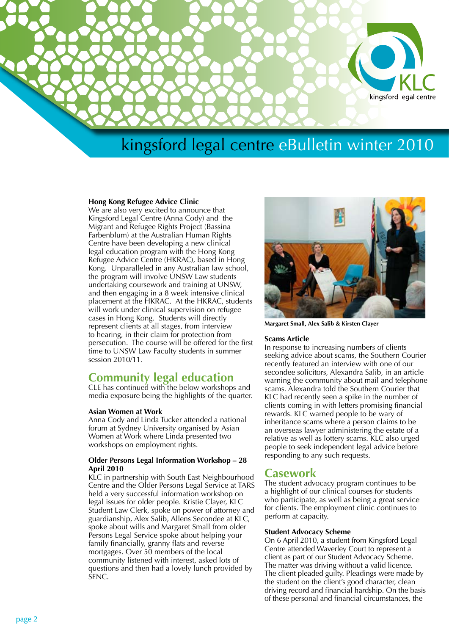

### **Hong Kong Refugee Advice Clinic**

We are also very excited to announce that Kingsford Legal Centre (Anna Cody) and the Migrant and Refugee Rights Project (Bassina Farbenblum) at the Australian Human Rights Centre have been developing a new clinical legal education program with the Hong Kong Refugee Advice Centre (HKRAC), based in Hong Kong. Unparalleled in any Australian law school, the program will involve UNSW Law students undertaking coursework and training at UNSW, and then engaging in a 8 week intensive clinical placement at the HKRAC. At the HKRAC, students will work under clinical supervision on refugee cases in Hong Kong. Students will directly represent clients at all stages, from interview to hearing, in their claim for protection from persecution. The course will be offered for the first time to UNSW Law Faculty students in summer session 2010/11.

# **Community legal education**

CLE has continued with the below workshops and media exposure being the highlights of the quarter.

# **Asian Women at Work**

Anna Cody and Linda Tucker attended a national forum at Sydney University organised by Asian Women at Work where Linda presented two workshops on employment rights.

### **Older Persons Legal Information Workshop – 28 April 2010**

KLC in partnership with South East Neighbourhood Centre and the Older Persons Legal Service at TARS held a very successful information workshop on legal issues for older people. Kristie Clayer, KLC Student Law Clerk, spoke on power of attorney and guardianship, Alex Salib, Allens Secondee at KLC, spoke about wills and Margaret Small from older Persons Legal Service spoke about helping your family financially, granny flats and reverse mortgages. Over 50 members of the local community listened with interest, asked lots of questions and then had a lovely lunch provided by SENC.



**Margaret Small, Alex Salib & Kirsten Clayer**

#### **Scams Article**

In response to increasing numbers of clients seeking advice about scams, the Southern Courier recently featured an interview with one of our secondee solicitors, Alexandra Salib, in an article warning the community about mail and telephone scams. Alexandra told the Southern Courier that KLC had recently seen a spike in the number of clients coming in with letters promising financial rewards. KLC warned people to be wary of inheritance scams where a person claims to be an overseas lawyer administering the estate of a relative as well as lottery scams. KLC also urged people to seek independent legal advice before responding to any such requests.

# **Casework**

The student advocacy program continues to be a highlight of our clinical courses for students who participate, as well as being a great service for clients. The employment clinic continues to perform at capacity.

#### **Student Advocacy Scheme**

On 6 April 2010, a student from Kingsford Legal Centre attended Waverley Court to represent a client as part of our Student Advocacy Scheme. The matter was driving without a valid licence. The client pleaded guilty. Pleadings were made by the student on the client's good character, clean driving record and financial hardship. On the basis of these personal and financial circumstances, the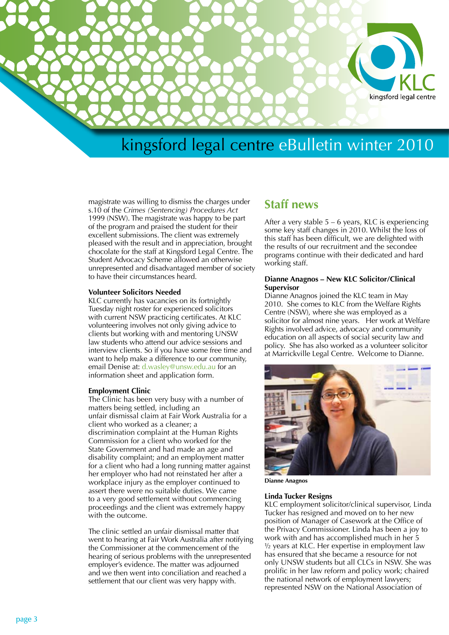

magistrate was willing to dismiss the charges under s.10 of the *Crimes (Sentencing) Procedures Act* 1999 (NSW). The magistrate was happy to be part of the program and praised the student for their excellent submissions. The client was extremely pleased with the result and in appreciation, brought chocolate for the staff at Kingsford Legal Centre. The Student Advocacy Scheme allowed an otherwise unrepresented and disadvantaged member of society to have their circumstances heard.

#### **Volunteer Solicitors Needed**

KLC currently has vacancies on its fortnightly Tuesday night roster for experienced solicitors with current NSW practicing certificates. At KLC volunteering involves not only giving advice to clients but working with and mentoring UNSW law students who attend our advice sessions and interview clients. So if you have some free time and want to help make a difference to our community, email Denise at: d.wasley@unsw.edu.au for an information sheet and application form.

#### **Employment Clinic**

The Clinic has been very busy with a number of matters being settled, including an unfair dismissal claim at Fair Work Australia for a client who worked as a cleaner; a discrimination complaint at the Human Rights Commission for a client who worked for the State Government and had made an age and disability complaint; and an employment matter for a client who had a long running matter against her employer who had not reinstated her after a workplace injury as the employer continued to assert there were no suitable duties. We came to a very good settlement without commencing proceedings and the client was extremely happy with the outcome.

The clinic settled an unfair dismissal matter that went to hearing at Fair Work Australia after notifying the Commissioner at the commencement of the hearing of serious problems with the unrepresented employer's evidence. The matter was adjourned and we then went into conciliation and reached a settlement that our client was very happy with.

# **Staff news**

After a very stable 5 – 6 years, KLC is experiencing some key staff changes in 2010. Whilst the loss of this staff has been difficult, we are delighted with the results of our recruitment and the secondee programs continue with their dedicated and hard working staff.

#### **Dianne Anagnos – New KLC Solicitor/Clinical Supervisor**

Dianne Anagnos joined the KLC team in May 2010. She comes to KLC from the Welfare Rights Centre (NSW), where she was employed as a solicitor for almost nine years. Her work at Welfare Rights involved advice, advocacy and community education on all aspects of social security law and policy. She has also worked as a volunteer solicitor at Marrickville Legal Centre. Welcome to Dianne.



**Dianne Anagnos**

## **Linda Tucker Resigns**

KLC employment solicitor/clinical supervisor, Linda Tucker has resigned and moved on to her new position of Manager of Casework at the Office of the Privacy Commissioner. Linda has been a joy to work with and has accomplished much in her 5 ½ years at KLC. Her expertise in employment law has ensured that she became a resource for not only UNSW students but all CLCs in NSW. She was prolific in her law reform and policy work; chaired the national network of employment lawyers; represented NSW on the National Association of